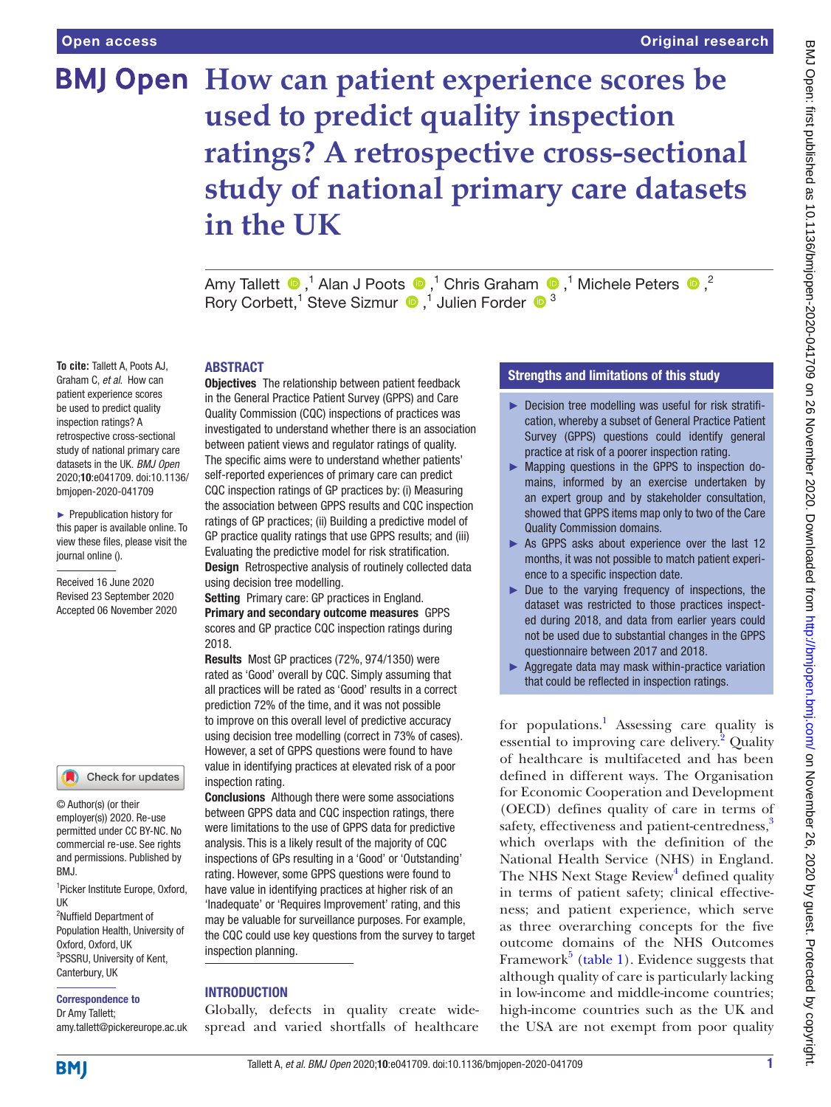# **BMJ Open How can patient experience scores be used to predict quality inspection ratings? A retrospective cross-sectional study of national primary care datasets in the UK**

AmyTallett  $\bigcirc$ ,<sup>1</sup> Alan J Poots  $\bigcirc$ ,<sup>1</sup> Chris Graham  $\bigcirc$ ,<sup>1</sup> Michele Peters  $\bigcirc$ ,<sup>2</sup> RoryCorbett,<sup>1</sup> Steve Sizmur  $\bigcirc$ ,<sup>1</sup> Julien Forder  $\bigcirc$ <sup>3</sup>

#### ABSTRACT

**To cite:** Tallett A, Poots AJ, Graham C, *et al*. How can patient experience scores be used to predict quality inspection ratings? A retrospective cross-sectional study of national primary care datasets in the UK. *BMJ Open* 2020;10:e041709. doi:10.1136/ bmjopen-2020-041709

► Prepublication history for this paper is available online. To view these files, please visit the journal online ().

Received 16 June 2020 Revised 23 September 2020 Accepted 06 November 2020



© Author(s) (or their employer(s)) 2020. Re-use permitted under CC BY-NC. No commercial re-use. See rights and permissions. Published by BMJ.

1 Picker Institute Europe, Oxford, UK

<sup>2</sup>Nuffield Department of Population Health, University of Oxford, Oxford, UK 3 PSSRU, University of Kent, Canterbury, UK

#### Correspondence to

Dr Amy Tallett; amy.tallett@pickereurope.ac.uk

Objectives The relationship between patient feedback in the General Practice Patient Survey (GPPS) and Care Quality Commission (CQC) inspections of practices was investigated to understand whether there is an association between patient views and regulator ratings of quality. The specific aims were to understand whether patients' self-reported experiences of primary care can predict CQC inspection ratings of GP practices by: (i) Measuring the association between GPPS results and CQC inspection ratings of GP practices; (ii) Building a predictive model of GP practice quality ratings that use GPPS results; and (iii) Evaluating the predictive model for risk stratification. **Design** Retrospective analysis of routinely collected data using decision tree modelling.

Setting Primary care: GP practices in England. Primary and secondary outcome measures GPPS scores and GP practice CQC inspection ratings during 2018.

Results Most GP practices (72%, 974/1350) were rated as 'Good' overall by CQC. Simply assuming that all practices will be rated as 'Good' results in a correct prediction 72% of the time, and it was not possible to improve on this overall level of predictive accuracy using decision tree modelling (correct in 73% of cases). However, a set of GPPS questions were found to have value in identifying practices at elevated risk of a poor inspection rating.

**Conclusions** Although there were some associations between GPPS data and CQC inspection ratings, there were limitations to the use of GPPS data for predictive analysis. This is a likely result of the majority of CQC inspections of GPs resulting in a 'Good' or 'Outstanding' rating. However, some GPPS questions were found to have value in identifying practices at higher risk of an 'Inadequate' or 'Requires Improvement' rating, and this may be valuable for surveillance purposes. For example, the CQC could use key questions from the survey to target inspection planning.

## **INTRODUCTION**

Globally, defects in quality create widespread and varied shortfalls of healthcare

# Strengths and limitations of this study

- ► Decision tree modelling was useful for risk stratification, whereby a subset of General Practice Patient Survey (GPPS) questions could identify general practice at risk of a poorer inspection rating.
- ► Mapping questions in the GPPS to inspection domains, informed by an exercise undertaken by an expert group and by stakeholder consultation, showed that GPPS items map only to two of the Care Quality Commission domains.
- ► As GPPS asks about experience over the last 12 months, it was not possible to match patient experience to a specific inspection date.
- ► Due to the varying frequency of inspections, the dataset was restricted to those practices inspected during 2018, and data from earlier years could not be used due to substantial changes in the GPPS questionnaire between 2017 and 2018.
- ► Aggregate data may mask within-practice variation that could be reflected in inspection ratings.

for populations.<sup>[1](#page-6-0)</sup> Assessing care quality is essential to improving care delivery.<sup>[2](#page-6-1)</sup> Quality of healthcare is multifaceted and has been defined in different ways. The Organisation for Economic Cooperation and Development (OECD) defines quality of care in terms of safety, effectiveness and patient-centredness,<sup>3</sup> which overlaps with the definition of the National Health Service (NHS) in England. The NHS Next Stage Review<sup>[4](#page-6-3)</sup> defined quality in terms of patient safety; clinical effectiveness; and patient experience, which serve as three overarching concepts for the five outcome domains of the NHS Outcomes Framework<sup>5</sup> ([table](#page-1-0) 1). Evidence suggests that although quality of care is particularly lacking in low-income and middle-income countries; high-income countries such as the UK and the USA are not exempt from poor quality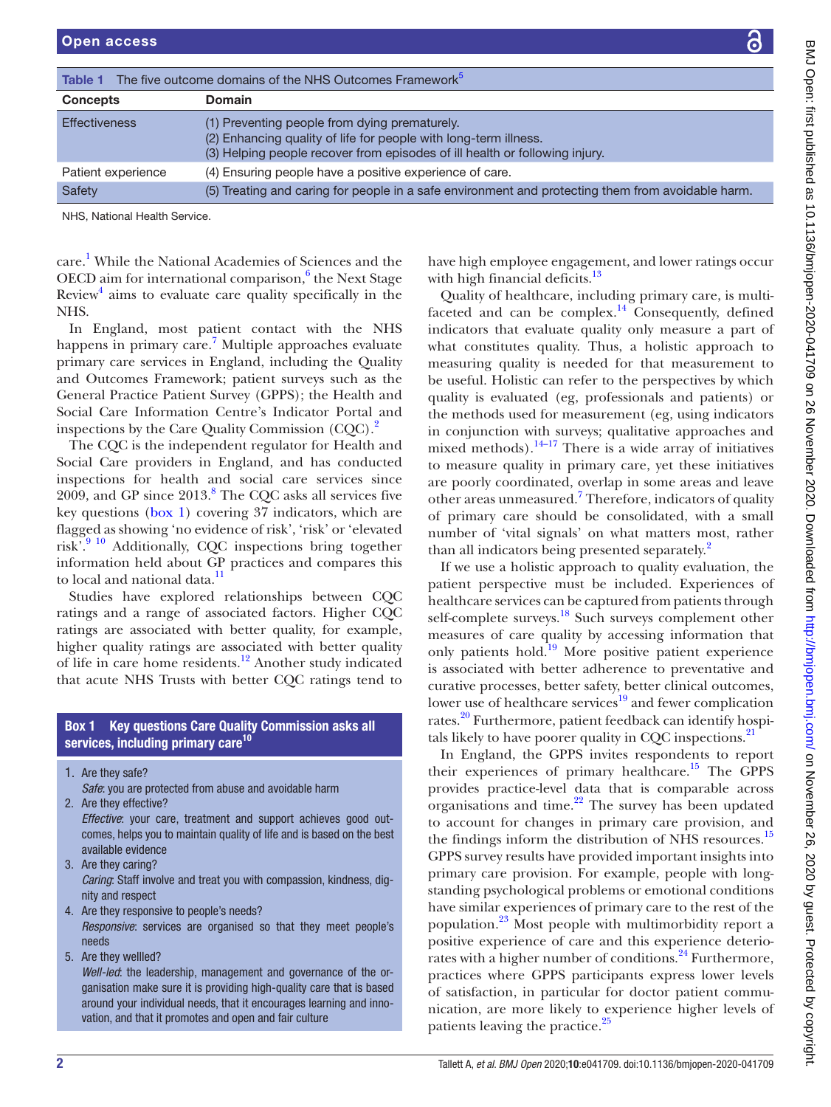<span id="page-1-0"></span>

| The five outcome domains of the NHS Outcomes Framework <sup>5</sup><br>Table 1 |                                                                                                                                                                                                  |  |  |  |
|--------------------------------------------------------------------------------|--------------------------------------------------------------------------------------------------------------------------------------------------------------------------------------------------|--|--|--|
| <b>Concepts</b>                                                                | <b>Domain</b>                                                                                                                                                                                    |  |  |  |
| <b>Effectiveness</b>                                                           | (1) Preventing people from dying prematurely.<br>(2) Enhancing quality of life for people with long-term illness.<br>(3) Helping people recover from episodes of ill health or following injury. |  |  |  |
| Patient experience                                                             | (4) Ensuring people have a positive experience of care.                                                                                                                                          |  |  |  |
| Safety                                                                         | (5) Treating and caring for people in a safe environment and protecting them from avoidable harm.                                                                                                |  |  |  |
| NHS, National Health Service.                                                  |                                                                                                                                                                                                  |  |  |  |

care. [1](#page-6-0) While the National Academies of Sciences and the OECD aim for international comparison, $6$  the Next Stage Review<sup>[4](#page-6-3)</sup> aims to evaluate care quality specifically in the NHS.

In England, most patient contact with the NHS happens in primary care.<sup>[7](#page-7-0)</sup> Multiple approaches evaluate primary care services in England, including the Quality and Outcomes Framework; patient surveys such as the General Practice Patient Survey (GPPS); the Health and Social Care Information Centre's Indicator Portal and inspections by the Care Quality Commission (CQC).<sup>2</sup>

The CQC is the independent regulator for Health and Social Care providers in England, and has conducted inspections for health and social care services since  $2009$ , and GP since  $2013$ .<sup>8</sup> The CQC asks all services five key questions ([box](#page-1-1) 1) covering 37 indicators, which are flagged as showing 'no evidence of risk', 'risk' or 'elevated risk'.<sup>9 10</sup> Additionally, CQC inspections bring together information held about GP practices and compares this to local and national data.<sup>11</sup>

Studies have explored relationships between CQC ratings and a range of associated factors. Higher CQC ratings are associated with better quality, for example, higher quality ratings are associated with better quality of life in care home residents[.12](#page-7-4) Another study indicated that acute NHS Trusts with better CQC ratings tend to

# Box 1 Key questions Care Quality Commission asks all services, including primary care<sup>[10](#page-7-16)</sup>

<span id="page-1-1"></span>1. Are they safe?

*Safe*: you are protected from abuse and avoidable harm

2. Are they effective?

*Effective*: your care, treatment and support achieves good outcomes, helps you to maintain quality of life and is based on the best available evidence

- 3. Are they caring? *Caring*: Staff involve and treat you with compassion, kindness, dignity and respect
- 4. Are they responsive to people's needs?

*Responsive*: services are organised so that they meet people's needs

5. Are they wellled?

*Well-led*: the leadership, management and governance of the organisation make sure it is providing high-quality care that is based around your individual needs, that it encourages learning and innovation, and that it promotes and open and fair culture

have high employee engagement, and lower ratings occur with high financial deficits.<sup>[13](#page-7-5)</sup>

Quality of healthcare, including primary care, is multifaceted and can be complex. $^{14}$  Consequently, defined indicators that evaluate quality only measure a part of what constitutes quality. Thus, a holistic approach to measuring quality is needed for that measurement to be useful. Holistic can refer to the perspectives by which quality is evaluated (eg, professionals and patients) or the methods used for measurement (eg, using indicators in conjunction with surveys; qualitative approaches and mixed methods). $14-17$  There is a wide array of initiatives to measure quality in primary care, yet these initiatives are poorly coordinated, overlap in some areas and leave other areas unmeasured.<sup>7</sup> Therefore, indicators of quality of primary care should be consolidated, with a small number of 'vital signals' on what matters most, rather than all indicators being presented separately.<sup>[2](#page-6-1)</sup>

If we use a holistic approach to quality evaluation, the patient perspective must be included. Experiences of healthcare services can be captured from patients through self-complete surveys.<sup>[18](#page-7-7)</sup> Such surveys complement other measures of care quality by accessing information that only patients hold.<sup>[19](#page-7-8)</sup> More positive patient experience is associated with better adherence to preventative and curative processes, better safety, better clinical outcomes, lower use of healthcare services<sup>19</sup> and fewer complication rates.<sup>20</sup> Furthermore, patient feedback can identify hospi-tals likely to have poorer quality in CQC inspections.<sup>[21](#page-7-10)</sup>

In England, the GPPS invites respondents to report their experiences of primary healthcare.<sup>15</sup> The GPPS provides practice-level data that is comparable across organisations and time.<sup>[22](#page-7-12)</sup> The survey has been updated to account for changes in primary care provision, and the findings inform the distribution of NHS resources.<sup>[15](#page-7-11)</sup> GPPS survey results have provided important insights into primary care provision. For example, people with longstanding psychological problems or emotional conditions have similar experiences of primary care to the rest of the population.[23](#page-7-13) Most people with multimorbidity report a positive experience of care and this experience deteriorates with a higher number of conditions.<sup>24</sup> Furthermore, practices where GPPS participants express lower levels of satisfaction, in particular for doctor patient communication, are more likely to experience higher levels of patients leaving the practice.<sup>[25](#page-7-15)</sup>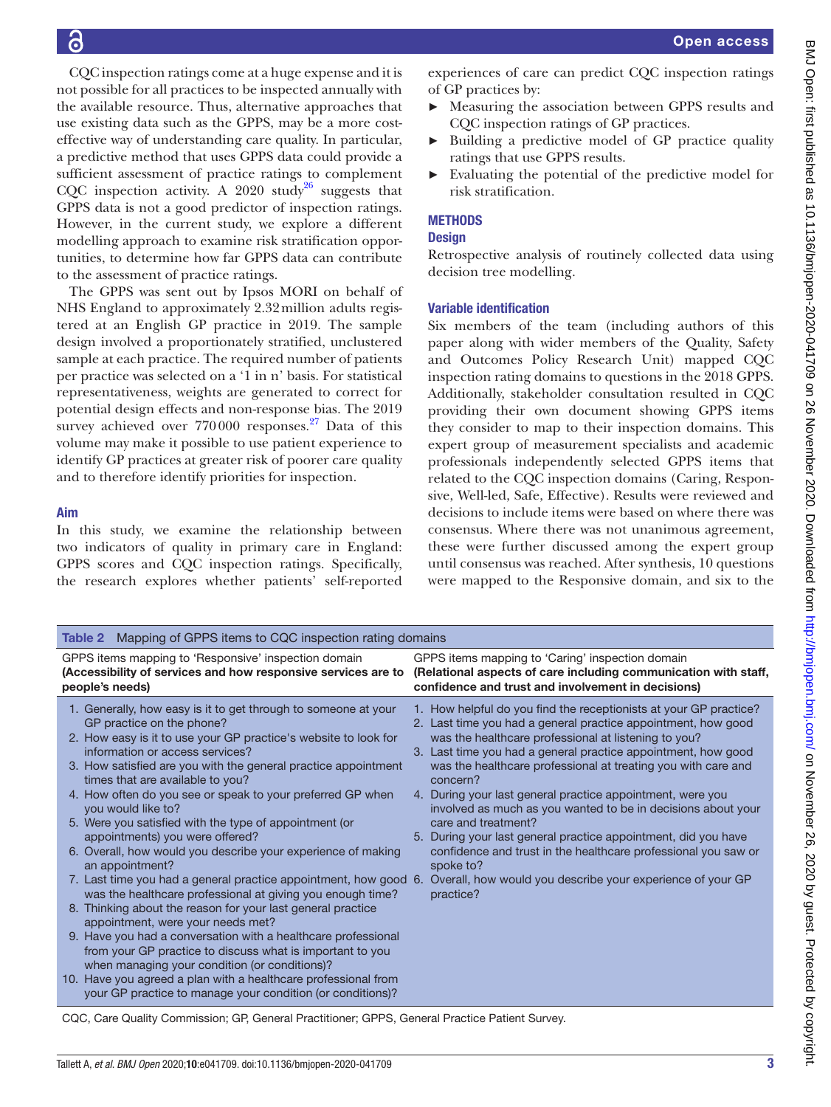CQC inspection ratings come at a huge expense and it is not possible for all practices to be inspected annually with the available resource. Thus, alternative approaches that use existing data such as the GPPS, may be a more costeffective way of understanding care quality. In particular, a predictive method that uses GPPS data could provide a sufficient assessment of practice ratings to complement CQC inspection activity. A 2020 study<sup>26</sup> suggests that GPPS data is not a good predictor of inspection ratings. However, in the current study, we explore a different modelling approach to examine risk stratification opportunities, to determine how far GPPS data can contribute to the assessment of practice ratings.

The GPPS was sent out by Ipsos MORI on behalf of NHS England to approximately 2.32million adults registered at an English GP practice in 2019. The sample design involved a proportionately stratified, unclustered sample at each practice. The required number of patients per practice was selected on a '1 in n' basis. For statistical representativeness, weights are generated to correct for potential design effects and non-response bias. The 2019 survey achieved over  $770000$  responses.<sup>27</sup> Data of this volume may make it possible to use patient experience to identify GP practices at greater risk of poorer care quality and to therefore identify priorities for inspection.

#### Aim

In this study, we examine the relationship between two indicators of quality in primary care in England: GPPS scores and CQC inspection ratings. Specifically, the research explores whether patients' self-reported

experiences of care can predict CQC inspection ratings of GP practices by:

- ► Measuring the association between GPPS results and CQC inspection ratings of GP practices.
- ► Building a predictive model of GP practice quality ratings that use GPPS results.
- ► Evaluating the potential of the predictive model for risk stratification.

# **METHODS**

## **Design**

Retrospective analysis of routinely collected data using decision tree modelling.

#### Variable identification

Six members of the team (including authors of this paper along with wider members of the Quality, Safety and Outcomes Policy Research Unit) mapped CQC inspection rating domains to questions in the 2018 GPPS. Additionally, stakeholder consultation resulted in CQC providing their own document showing GPPS items they consider to map to their inspection domains. This expert group of measurement specialists and academic professionals independently selected GPPS items that related to the CQC inspection domains (Caring, Responsive, Well-led, Safe, Effective). Results were reviewed and decisions to include items were based on where there was consensus. Where there was not unanimous agreement, these were further discussed among the expert group until consensus was reached. After synthesis, 10 questions were mapped to the Responsive domain, and six to the

<span id="page-2-0"></span>

| <b>Table 2</b> Mapping of GPPS items to CQC inspection rating domains                                                                                                                                                                                                                                                                                                                                                                                                                                                                                                                                                                                                                                                                                                                                                                                                                                                                                                                                                                                                                                                            |                                                                                                                                                                                                                                                                                                                                                                                                                                                                                                                                                                                                                                                                                                                           |  |  |  |  |  |  |
|----------------------------------------------------------------------------------------------------------------------------------------------------------------------------------------------------------------------------------------------------------------------------------------------------------------------------------------------------------------------------------------------------------------------------------------------------------------------------------------------------------------------------------------------------------------------------------------------------------------------------------------------------------------------------------------------------------------------------------------------------------------------------------------------------------------------------------------------------------------------------------------------------------------------------------------------------------------------------------------------------------------------------------------------------------------------------------------------------------------------------------|---------------------------------------------------------------------------------------------------------------------------------------------------------------------------------------------------------------------------------------------------------------------------------------------------------------------------------------------------------------------------------------------------------------------------------------------------------------------------------------------------------------------------------------------------------------------------------------------------------------------------------------------------------------------------------------------------------------------------|--|--|--|--|--|--|
| GPPS items mapping to 'Responsive' inspection domain<br>(Accessibility of services and how responsive services are to<br>people's needs)                                                                                                                                                                                                                                                                                                                                                                                                                                                                                                                                                                                                                                                                                                                                                                                                                                                                                                                                                                                         | GPPS items mapping to 'Caring' inspection domain<br>(Relational aspects of care including communication with staff,<br>confidence and trust and involvement in decisions)                                                                                                                                                                                                                                                                                                                                                                                                                                                                                                                                                 |  |  |  |  |  |  |
| 1. Generally, how easy is it to get through to someone at your<br>GP practice on the phone?<br>2. How easy is it to use your GP practice's website to look for<br>information or access services?<br>3. How satisfied are you with the general practice appointment<br>times that are available to you?<br>4. How often do you see or speak to your preferred GP when<br>you would like to?<br>5. Were you satisfied with the type of appointment (or<br>appointments) you were offered?<br>6. Overall, how would you describe your experience of making<br>an appointment?<br>7. Last time you had a general practice appointment, how good 6.<br>was the healthcare professional at giving you enough time?<br>8. Thinking about the reason for your last general practice<br>appointment, were your needs met?<br>9. Have you had a conversation with a healthcare professional<br>from your GP practice to discuss what is important to you<br>when managing your condition (or conditions)?<br>10. Have you agreed a plan with a healthcare professional from<br>your GP practice to manage your condition (or conditions)? | 1. How helpful do you find the receptionists at your GP practice?<br>2. Last time you had a general practice appointment, how good<br>was the healthcare professional at listening to you?<br>3. Last time you had a general practice appointment, how good<br>was the healthcare professional at treating you with care and<br>concern?<br>4. During your last general practice appointment, were you<br>involved as much as you wanted to be in decisions about your<br>care and treatment?<br>5. During your last general practice appointment, did you have<br>confidence and trust in the healthcare professional you saw or<br>spoke to?<br>Overall, how would you describe your experience of your GP<br>practice? |  |  |  |  |  |  |

CQC, Care Quality Commission; GP, General Practitioner; GPPS, General Practice Patient Survey.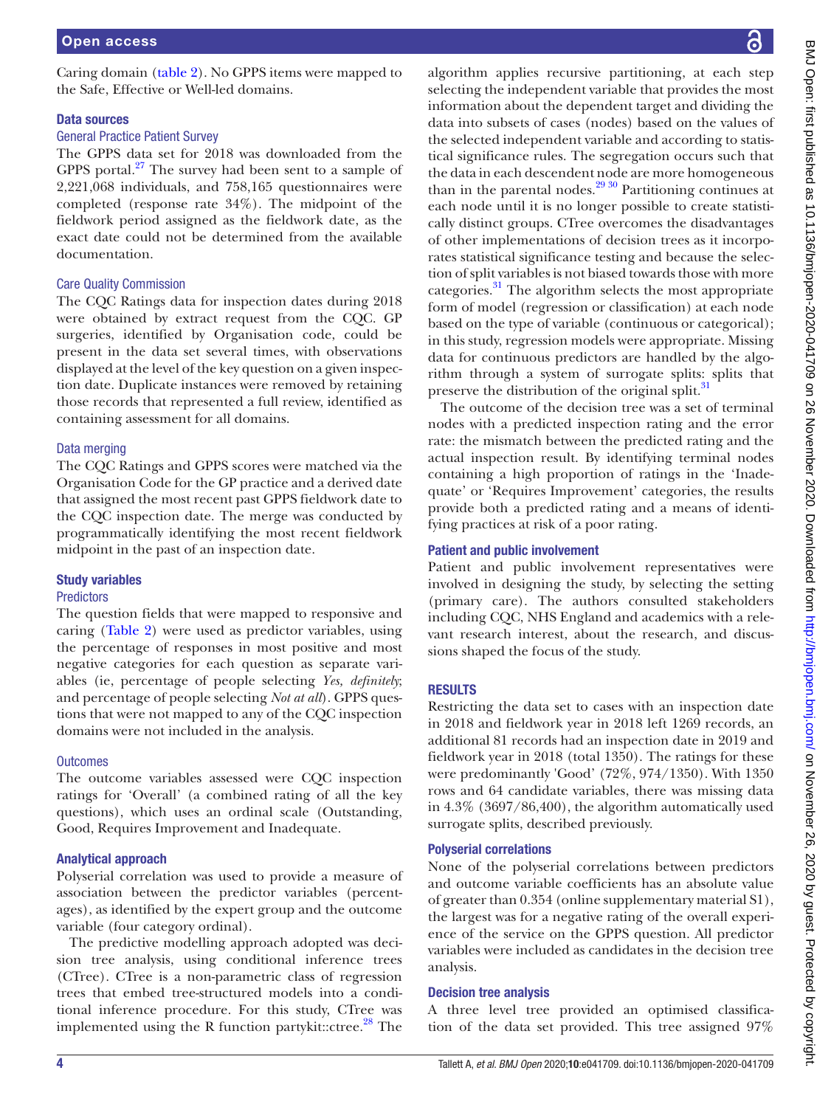Caring domain ([table](#page-2-0) 2). No GPPS items were mapped to the Safe, Effective or Well-led domains.

#### Data sources

#### General Practice Patient Survey

The GPPS data set for 2018 was downloaded from the GPPS portal. $27$  The survey had been sent to a sample of 2,221,068 individuals, and 758,165 questionnaires were completed (response rate 34%). The midpoint of the fieldwork period assigned as the fieldwork date, as the exact date could not be determined from the available documentation.

#### Care Quality Commission

The CQC Ratings data for inspection dates during 2018 were obtained by extract request from the CQC. GP surgeries, identified by Organisation code, could be present in the data set several times, with observations displayed at the level of the key question on a given inspection date. Duplicate instances were removed by retaining those records that represented a full review, identified as containing assessment for all domains.

#### Data merging

The CQC Ratings and GPPS scores were matched via the Organisation Code for the GP practice and a derived date that assigned the most recent past GPPS fieldwork date to the CQC inspection date. The merge was conducted by programmatically identifying the most recent fieldwork midpoint in the past of an inspection date.

#### Study variables

#### **Predictors**

The question fields that were mapped to responsive and caring ([Table](#page-2-0) 2) were used as predictor variables, using the percentage of responses in most positive and most negative categories for each question as separate variables (ie, percentage of people selecting *Yes, definitely*; and percentage of people selecting *Not at all*). GPPS questions that were not mapped to any of the CQC inspection domains were not included in the analysis.

#### **Outcomes**

The outcome variables assessed were CQC inspection ratings for 'Overall' (a combined rating of all the key questions), which uses an ordinal scale (Outstanding, Good, Requires Improvement and Inadequate.

#### Analytical approach

Polyserial correlation was used to provide a measure of association between the predictor variables (percentages), as identified by the expert group and the outcome variable (four category ordinal).

The predictive modelling approach adopted was decision tree analysis, using conditional inference trees (CTree). CTree is a non-parametric class of regression trees that embed tree-structured models into a conditional inference procedure. For this study, CTree was implemented using the R function partykit::ctree. $28$  The

algorithm applies recursive partitioning, at each step selecting the independent variable that provides the most information about the dependent target and dividing the data into subsets of cases (nodes) based on the values of the selected independent variable and according to statistical significance rules. The segregation occurs such that the data in each descendent node are more homogeneous than in the parental nodes. $2930$  Partitioning continues at each node until it is no longer possible to create statistically distinct groups. CTree overcomes the disadvantages of other implementations of decision trees as it incorporates statistical significance testing and because the selection of split variables is not biased towards those with more categories.[31](#page-7-21) The algorithm selects the most appropriate form of model (regression or classification) at each node based on the type of variable (continuous or categorical); in this study, regression models were appropriate. Missing data for continuous predictors are handled by the algorithm through a system of surrogate splits: splits that preserve the distribution of the original split.<sup>[31](#page-7-21)</sup>

The outcome of the decision tree was a set of terminal nodes with a predicted inspection rating and the error rate: the mismatch between the predicted rating and the actual inspection result. By identifying terminal nodes containing a high proportion of ratings in the 'Inadequate' or 'Requires Improvement' categories, the results provide both a predicted rating and a means of identifying practices at risk of a poor rating.

#### Patient and public involvement

Patient and public involvement representatives were involved in designing the study, by selecting the setting (primary care). The authors consulted stakeholders including CQC, NHS England and academics with a relevant research interest, about the research, and discussions shaped the focus of the study.

# RESULTS

Restricting the data set to cases with an inspection date in 2018 and fieldwork year in 2018 left 1269 records, an additional 81 records had an inspection date in 2019 and fieldwork year in 2018 (total 1350). The ratings for these were predominantly 'Good' (72%, 974/1350). With 1350 rows and 64 candidate variables, there was missing data in 4.3% (3697/86,400), the algorithm automatically used surrogate splits, described previously.

#### Polyserial correlations

None of the polyserial correlations between predictors and outcome variable coefficients has an absolute value of greater than 0.354 ([online supplementary material S1\)](https://dx.doi.org/10.1136/bmjopen-2020-041709), the largest was for a negative rating of the overall experience of the service on the GPPS question. All predictor variables were included as candidates in the decision tree analysis.

#### Decision tree analysis

A three level tree provided an optimised classification of the data set provided. This tree assigned 97%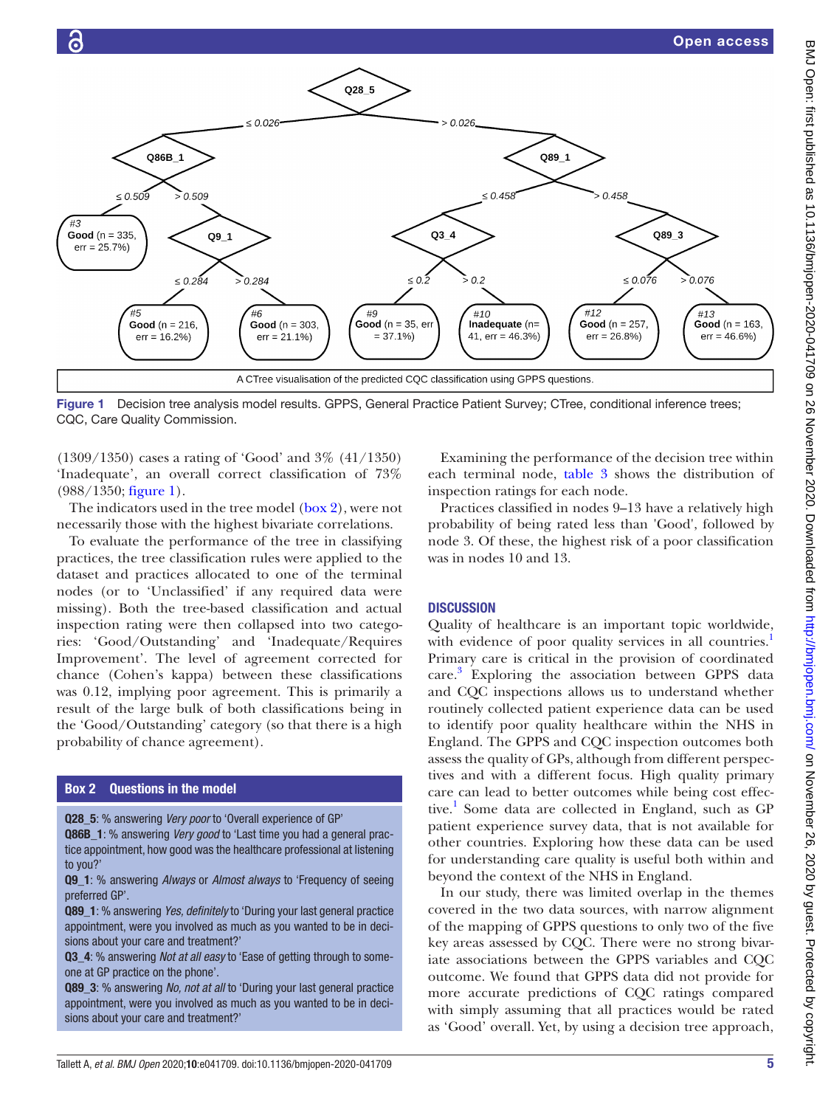

<span id="page-4-0"></span>(1309/1350) cases a rating of 'Good' and 3% (41/1350) 'Inadequate', an overall correct classification of 73% (988/1350; [figure](#page-4-0) 1).

The indicators used in the tree model  $(box 2)$  $(box 2)$ , were not necessarily those with the highest bivariate correlations.

To evaluate the performance of the tree in classifying practices, the tree classification rules were applied to the dataset and practices allocated to one of the terminal nodes (or to 'Unclassified' if any required data were missing). Both the tree-based classification and actual inspection rating were then collapsed into two categories: 'Good/Outstanding' and 'Inadequate/Requires Improvement'. The level of agreement corrected for chance (Cohen's kappa) between these classifications was 0.12, implying poor agreement. This is primarily a result of the large bulk of both classifications being in the 'Good/Outstanding' category (so that there is a high probability of chance agreement).

#### Box 2 Questions in the model

 $#3$ 

<span id="page-4-1"></span>Q28\_5: % answering *Very poor* to 'Overall experience of GP'

**Q86B** 1: % answering *Very good* to 'Last time you had a general practice appointment, how good was the healthcare professional at listening to you?'

Q9\_1: % answering *Always* or *Almost always* to 'Frequency of seeing preferred GP'.

Q89\_1: % answering *Yes, definitely* to 'During your last general practice appointment, were you involved as much as you wanted to be in decisions about your care and treatment?'

Q3\_4: % answering *Not at all easy* to 'Ease of getting through to someone at GP practice on the phone'.

Q89\_3: % answering *No, not at all* to 'During your last general practice appointment, were you involved as much as you wanted to be in decisions about your care and treatment?'

Examining the performance of the decision tree within each terminal node, [table](#page-5-0) 3 shows the distribution of inspection ratings for each node.

Practices classified in nodes 9–13 have a relatively high probability of being rated less than 'Good', followed by node 3. Of these, the highest risk of a poor classification was in nodes 10 and 13.

#### **DISCUSSION**

Quality of healthcare is an important topic worldwide, with evidence of poor quality services in all countries.<sup>1</sup> Primary care is critical in the provision of coordinated care. [3](#page-6-2) Exploring the association between GPPS data and CQC inspections allows us to understand whether routinely collected patient experience data can be used to identify poor quality healthcare within the NHS in England. The GPPS and CQC inspection outcomes both assess the quality of GPs, although from different perspectives and with a different focus. High quality primary care can lead to better outcomes while being cost effec-tive.<sup>[1](#page-6-0)</sup> Some data are collected in England, such as GP patient experience survey data, that is not available for other countries. Exploring how these data can be used for understanding care quality is useful both within and beyond the context of the NHS in England.

In our study, there was limited overlap in the themes covered in the two data sources, with narrow alignment of the mapping of GPPS questions to only two of the five key areas assessed by CQC. There were no strong bivariate associations between the GPPS variables and CQC outcome. We found that GPPS data did not provide for more accurate predictions of CQC ratings compared with simply assuming that all practices would be rated as 'Good' overall. Yet, by using a decision tree approach,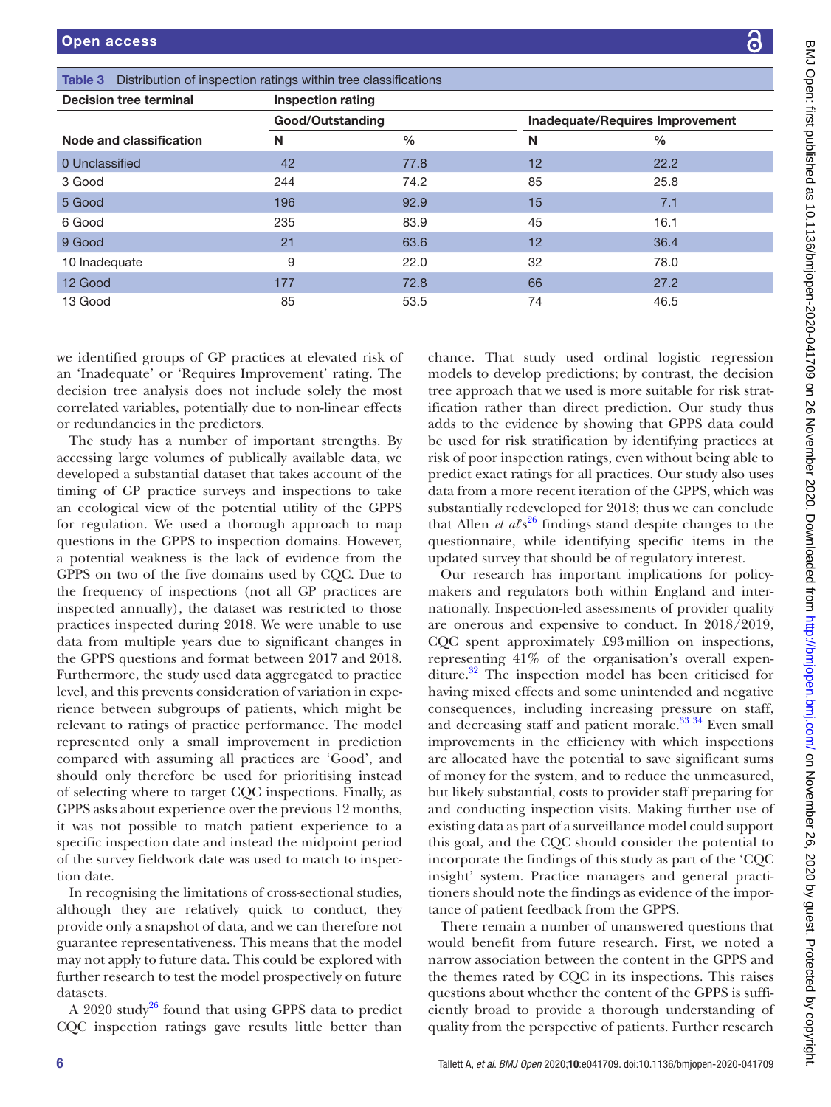<span id="page-5-0"></span>

| <b>Decision tree terminal</b> | <b>Inspection rating</b> |      |    |                                 |  |
|-------------------------------|--------------------------|------|----|---------------------------------|--|
|                               | Good/Outstanding         |      |    | Inadequate/Requires Improvement |  |
| Node and classification       | N                        | $\%$ | N  | $\frac{0}{0}$                   |  |
| 0 Unclassified                | 42                       | 77.8 | 12 | 22.2                            |  |
| 3 Good                        | 244                      | 74.2 | 85 | 25.8                            |  |
| 5 Good                        | 196                      | 92.9 | 15 | 7.1                             |  |
| 6 Good                        | 235                      | 83.9 | 45 | 16.1                            |  |
| 9 Good                        | 21                       | 63.6 | 12 | 36.4                            |  |
| 10 Inadequate                 | 9                        | 22.0 | 32 | 78.0                            |  |
| 12 Good                       | 177                      | 72.8 | 66 | 27.2                            |  |
| 13 Good                       | 85                       | 53.5 | 74 | 46.5                            |  |

an 'Inadequate' or 'Requires Improvement' rating. The decision tree analysis does not include solely the most correlated variables, potentially due to non-linear effects or redundancies in the predictors.

The study has a number of important strengths. By accessing large volumes of publically available data, we developed a substantial dataset that takes account of the timing of GP practice surveys and inspections to take an ecological view of the potential utility of the GPPS for regulation. We used a thorough approach to map questions in the GPPS to inspection domains. However, a potential weakness is the lack of evidence from the GPPS on two of the five domains used by CQC. Due to the frequency of inspections (not all GP practices are inspected annually), the dataset was restricted to those practices inspected during 2018. We were unable to use data from multiple years due to significant changes in the GPPS questions and format between 2017 and 2018. Furthermore, the study used data aggregated to practice level, and this prevents consideration of variation in experience between subgroups of patients, which might be relevant to ratings of practice performance. The model represented only a small improvement in prediction compared with assuming all practices are 'Good', and should only therefore be used for prioritising instead of selecting where to target CQC inspections. Finally, as GPPS asks about experience over the previous 12 months, it was not possible to match patient experience to a specific inspection date and instead the midpoint period of the survey fieldwork date was used to match to inspection date.

In recognising the limitations of cross-sectional studies, although they are relatively quick to conduct, they provide only a snapshot of data, and we can therefore not guarantee representativeness. This means that the model may not apply to future data. This could be explored with further research to test the model prospectively on future datasets.

A 2020 study<sup>26</sup> found that using GPPS data to predict CQC inspection ratings gave results little better than

egression models to develop predictions; by contrast, the decision tree approach that we used is more suitable for risk stratification rather than direct prediction. Our study thus adds to the evidence by showing that GPPS data could be used for risk stratification by identifying practices at risk of poor inspection ratings, even without being able to predict exact ratings for all practices. Our study also uses data from a more recent iteration of the GPPS, which was substantially redeveloped for 2018; thus we can conclude that Allen *et al*<sup>26</sup> findings stand despite changes to the questionnaire, while identifying specific items in the updated survey that should be of regulatory interest.

Our research has important implications for policymakers and regulators both within England and internationally. Inspection-led assessments of provider quality are onerous and expensive to conduct. In 2018/2019, CQC spent approximately £93million on inspections, representing 41% of the organisation's overall expenditure. $32$  The inspection model has been criticised for having mixed effects and some unintended and negative consequences, including increasing pressure on staff, and decreasing staff and patient morale.<sup>33</sup> <sup>34</sup> Even small improvements in the efficiency with which inspections are allocated have the potential to save significant sums of money for the system, and to reduce the unmeasured, but likely substantial, costs to provider staff preparing for and conducting inspection visits. Making further use of existing data as part of a surveillance model could support this goal, and the CQC should consider the potential to incorporate the findings of this study as part of the 'CQC insight' system. Practice managers and general practitioners should note the findings as evidence of the importance of patient feedback from the GPPS.

There remain a number of unanswered questions that would benefit from future research. First, we noted a narrow association between the content in the GPPS and the themes rated by CQC in its inspections. This raises questions about whether the content of the GPPS is sufficiently broad to provide a thorough understanding of quality from the perspective of patients. Further research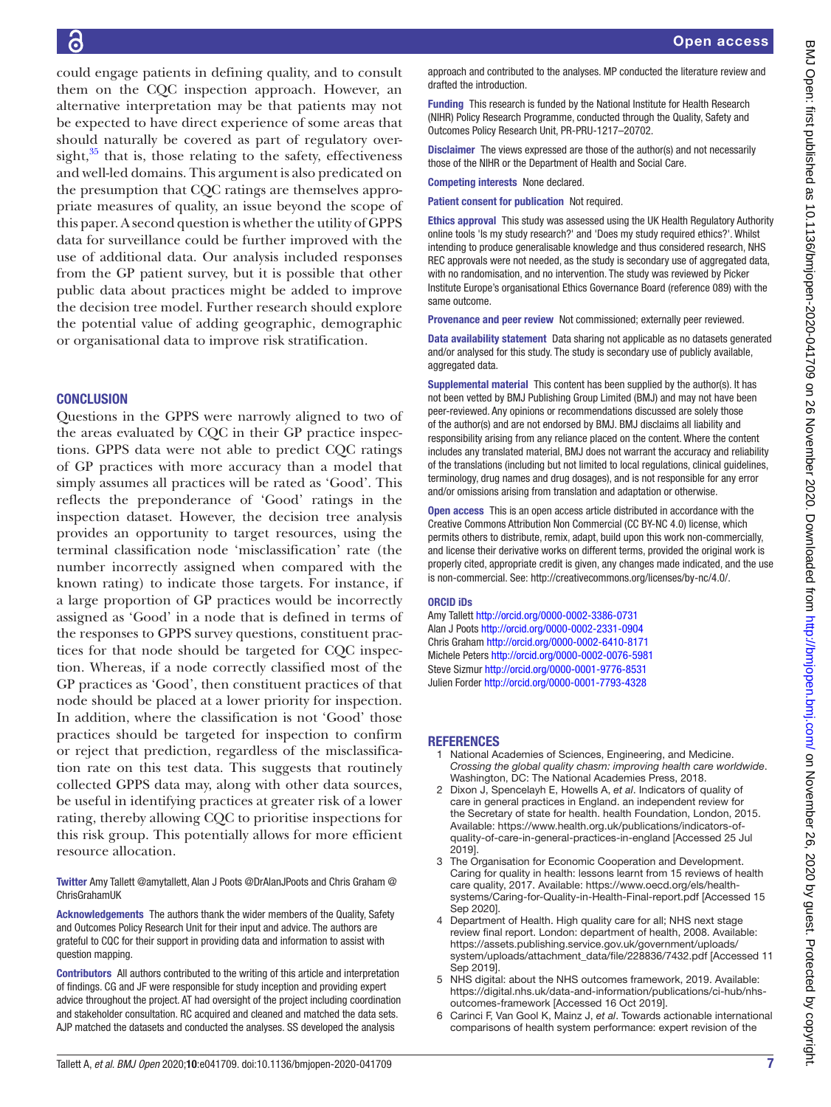could engage patients in defining quality, and to consult them on the CQC inspection approach. However, an alternative interpretation may be that patients may not be expected to have direct experience of some areas that should naturally be covered as part of regulatory oversight, $35$  that is, those relating to the safety, effectiveness and well-led domains. This argument is also predicated on the presumption that CQC ratings are themselves appropriate measures of quality, an issue beyond the scope of this paper. A second question is whether the utility of GPPS data for surveillance could be further improved with the use of additional data. Our analysis included responses from the GP patient survey, but it is possible that other public data about practices might be added to improve the decision tree model. Further research should explore the potential value of adding geographic, demographic or organisational data to improve risk stratification.

# **CONCLUSION**

Questions in the GPPS were narrowly aligned to two of the areas evaluated by CQC in their GP practice inspections. GPPS data were not able to predict CQC ratings of GP practices with more accuracy than a model that simply assumes all practices will be rated as 'Good'. This reflects the preponderance of 'Good' ratings in the inspection dataset. However, the decision tree analysis provides an opportunity to target resources, using the terminal classification node 'misclassification' rate (the number incorrectly assigned when compared with the known rating) to indicate those targets. For instance, if a large proportion of GP practices would be incorrectly assigned as 'Good' in a node that is defined in terms of the responses to GPPS survey questions, constituent practices for that node should be targeted for CQC inspection. Whereas, if a node correctly classified most of the GP practices as 'Good', then constituent practices of that node should be placed at a lower priority for inspection. In addition, where the classification is not 'Good' those practices should be targeted for inspection to confirm or reject that prediction, regardless of the misclassification rate on this test data. This suggests that routinely collected GPPS data may, along with other data sources, be useful in identifying practices at greater risk of a lower rating, thereby allowing CQC to prioritise inspections for this risk group. This potentially allows for more efficient resource allocation.

Twitter Amy Tallett [@amytallett](https://twitter.com/amytallett), Alan J Poots [@DrAlanJPoots](https://twitter.com/DrAlanJPoots) and Chris Graham [@](https://twitter.com/ChrisGrahamUK) [ChrisGrahamUK](https://twitter.com/ChrisGrahamUK)

Acknowledgements The authors thank the wider members of the Quality, Safety and Outcomes Policy Research Unit for their input and advice. The authors are grateful to CQC for their support in providing data and information to assist with question mapping.

Contributors All authors contributed to the writing of this article and interpretation of findings. CG and JF were responsible for study inception and providing expert advice throughout the project. AT had oversight of the project including coordination and stakeholder consultation. RC acquired and cleaned and matched the data sets. AJP matched the datasets and conducted the analyses. SS developed the analysis

approach and contributed to the analyses. MP conducted the literature review and drafted the introduction.

Funding This research is funded by the National Institute for Health Research (NIHR) Policy Research Programme, conducted through the Quality, Safety and Outcomes Policy Research Unit, PR-PRU-1217–20702.

Disclaimer The views expressed are those of the author(s) and not necessarily those of the NIHR or the Department of Health and Social Care.

Competing interests None declared.

Patient consent for publication Not required.

Ethics approval This study was assessed using the UK Health Regulatory Authority online tools 'Is my study research?' and 'Does my study required ethics?'. Whilst intending to produce generalisable knowledge and thus considered research, NHS REC approvals were not needed, as the study is secondary use of aggregated data, with no randomisation, and no intervention. The study was reviewed by Picker Institute Europe's organisational Ethics Governance Board (reference 089) with the same outcome.

Provenance and peer review Not commissioned; externally peer reviewed.

Data availability statement Data sharing not applicable as no datasets generated and/or analysed for this study. The study is secondary use of publicly available, aggregated data.

Supplemental material This content has been supplied by the author(s). It has not been vetted by BMJ Publishing Group Limited (BMJ) and may not have been peer-reviewed. Any opinions or recommendations discussed are solely those of the author(s) and are not endorsed by BMJ. BMJ disclaims all liability and responsibility arising from any reliance placed on the content. Where the content includes any translated material, BMJ does not warrant the accuracy and reliability of the translations (including but not limited to local regulations, clinical guidelines, terminology, drug names and drug dosages), and is not responsible for any error and/or omissions arising from translation and adaptation or otherwise.

Open access This is an open access article distributed in accordance with the Creative Commons Attribution Non Commercial (CC BY-NC 4.0) license, which permits others to distribute, remix, adapt, build upon this work non-commercially, and license their derivative works on different terms, provided the original work is properly cited, appropriate credit is given, any changes made indicated, and the use is non-commercial. See: [http://creativecommons.org/licenses/by-nc/4.0/.](http://creativecommons.org/licenses/by-nc/4.0/)

#### ORCID iDs

Amy Tallett<http://orcid.org/0000-0002-3386-0731> Alan J Poots<http://orcid.org/0000-0002-2331-0904> Chris Graham<http://orcid.org/0000-0002-6410-8171> Michele Peters<http://orcid.org/0000-0002-0076-5981> Steve Sizmur <http://orcid.org/0000-0001-9776-8531> Julien Forder<http://orcid.org/0000-0001-7793-4328>

# **REFERENCES**

- <span id="page-6-0"></span>1 National Academies of Sciences, Engineering, and Medicine. *Crossing the global quality chasm: improving health care worldwide*. Washington, DC: The National Academies Press, 2018.
- <span id="page-6-1"></span>2 Dixon J, Spencelayh E, Howells A, *et al*. Indicators of quality of care in general practices in England. an independent review for the Secretary of state for health. health Foundation, London, 2015. Available: [https://www.health.org.uk/publications/indicators-of](https://www.health.org.uk/publications/indicators-of-quality-of-care-in-general-practices-in-england)[quality-of-care-in-general-practices-in-england](https://www.health.org.uk/publications/indicators-of-quality-of-care-in-general-practices-in-england) [Accessed 25 Jul 2019].
- <span id="page-6-2"></span>3 The Organisation for Economic Cooperation and Development. Caring for quality in health: lessons learnt from 15 reviews of health care quality, 2017. Available: [https://www.oecd.org/els/health](https://www.oecd.org/els/health-systems/Caring-for-Quality-in-Health-Final-report.pdf)[systems/Caring-for-Quality-in-Health-Final-report.pdf](https://www.oecd.org/els/health-systems/Caring-for-Quality-in-Health-Final-report.pdf) [Accessed 15 Sep 2020].
- <span id="page-6-3"></span>Department of Health. High quality care for all; NHS next stage review final report. London: department of health, 2008. Available: [https://assets.publishing.service.gov.uk/government/uploads/](https://assets.publishing.service.gov.uk/government/uploads/system/uploads/attachment_data/file/228836/7432.pdf) [system/uploads/attachment\\_data/file/228836/7432.pdf](https://assets.publishing.service.gov.uk/government/uploads/system/uploads/attachment_data/file/228836/7432.pdf) [Accessed 11 Sep 2019].
- <span id="page-6-4"></span>NHS digital: about the NHS outcomes framework, 2019. Available: [https://digital.nhs.uk/data-and-information/publications/ci-hub/nhs](https://digital.nhs.uk/data-and-information/publications/ci-hub/nhs-outcomes-framework)[outcomes-framework](https://digital.nhs.uk/data-and-information/publications/ci-hub/nhs-outcomes-framework) [Accessed 16 Oct 2019].
- <span id="page-6-5"></span>6 Carinci F, Van Gool K, Mainz J, *et al*. Towards actionable international comparisons of health system performance: expert revision of the